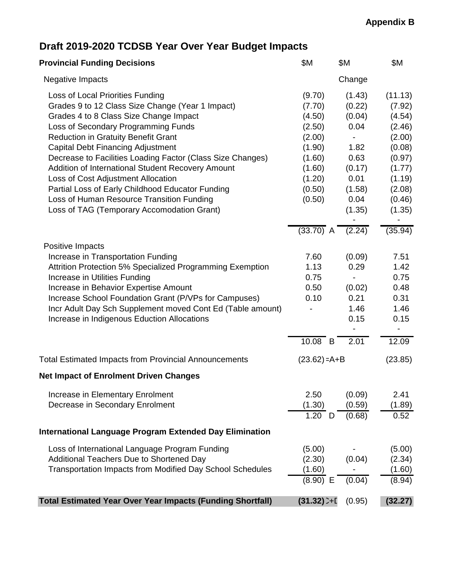## **Appendix B**

# **Draft 2019-2020 TCDSB Year Over Year Budget Impacts**

| <b>Provincial Funding Decisions</b>                                                                                                                                                                                                                                                                                                                                                                                                                                                                                                                                     | \$M                                                                                                        | \$Μ                                                                                              | \$M                                                                                                                   |
|-------------------------------------------------------------------------------------------------------------------------------------------------------------------------------------------------------------------------------------------------------------------------------------------------------------------------------------------------------------------------------------------------------------------------------------------------------------------------------------------------------------------------------------------------------------------------|------------------------------------------------------------------------------------------------------------|--------------------------------------------------------------------------------------------------|-----------------------------------------------------------------------------------------------------------------------|
| <b>Negative Impacts</b>                                                                                                                                                                                                                                                                                                                                                                                                                                                                                                                                                 |                                                                                                            | Change                                                                                           |                                                                                                                       |
| Loss of Local Priorities Funding<br>Grades 9 to 12 Class Size Change (Year 1 Impact)<br>Grades 4 to 8 Class Size Change Impact<br>Loss of Secondary Programming Funds<br><b>Reduction in Gratuity Benefit Grant</b><br><b>Capital Debt Financing Adjustment</b><br>Decrease to Facilities Loading Factor (Class Size Changes)<br>Addition of International Student Recovery Amount<br>Loss of Cost Adjustment Allocation<br>Partial Loss of Early Childhood Educator Funding<br>Loss of Human Resource Transition Funding<br>Loss of TAG (Temporary Accomodation Grant) | (9.70)<br>(7.70)<br>(4.50)<br>(2.50)<br>(2.00)<br>(1.90)<br>(1.60)<br>(1.60)<br>(1.20)<br>(0.50)<br>(0.50) | (1.43)<br>(0.22)<br>(0.04)<br>0.04<br>1.82<br>0.63<br>(0.17)<br>0.01<br>(1.58)<br>0.04<br>(1.35) | (11.13)<br>(7.92)<br>(4.54)<br>(2.46)<br>(2.00)<br>(0.08)<br>(0.97)<br>(1.77)<br>(1.19)<br>(2.08)<br>(0.46)<br>(1.35) |
|                                                                                                                                                                                                                                                                                                                                                                                                                                                                                                                                                                         | $(33.70)$ A                                                                                                | (2.24)                                                                                           | (35.94)                                                                                                               |
| Positive Impacts<br>Increase in Transportation Funding<br>Attrition Protection 5% Specialized Programming Exemption<br>Increase in Utilities Funding<br>Increase in Behavior Expertise Amount<br>Increase School Foundation Grant (P/VPs for Campuses)<br>Incr Adult Day Sch Supplement moved Cont Ed (Table amount)<br>Increase in Indigenous Eduction Allocations                                                                                                                                                                                                     |                                                                                                            | (0.09)<br>0.29<br>$\overline{\phantom{a}}$<br>(0.02)<br>0.21<br>1.46<br>0.15                     | 7.51<br>1.42<br>0.75<br>0.48<br>0.31<br>1.46<br>0.15                                                                  |
|                                                                                                                                                                                                                                                                                                                                                                                                                                                                                                                                                                         | $10.08$ B                                                                                                  | 2.01                                                                                             | 12.09                                                                                                                 |
| <b>Total Estimated Impacts from Provincial Announcements</b>                                                                                                                                                                                                                                                                                                                                                                                                                                                                                                            | $(23.62) = A + B$                                                                                          |                                                                                                  | (23.85)                                                                                                               |
| <b>Net Impact of Enrolment Driven Changes</b>                                                                                                                                                                                                                                                                                                                                                                                                                                                                                                                           |                                                                                                            |                                                                                                  |                                                                                                                       |
| Increase in Elementary Enrolment<br>Decrease in Secondary Enrolment                                                                                                                                                                                                                                                                                                                                                                                                                                                                                                     | 2.50<br>(1.30)<br>$1.20$ D                                                                                 | (0.09)<br>(0.59)<br>(0.68)                                                                       | 2.41<br>(1.89)<br>0.52                                                                                                |
| <b>International Language Program Extended Day Elimination</b>                                                                                                                                                                                                                                                                                                                                                                                                                                                                                                          |                                                                                                            |                                                                                                  |                                                                                                                       |
| Loss of International Language Program Funding<br>Additional Teachers Due to Shortened Day<br>Transportation Impacts from Modified Day School Schedules                                                                                                                                                                                                                                                                                                                                                                                                                 | (5.00)<br>(2.30)<br>(1.60)<br>$(8.90)$ E                                                                   | (0.04)<br>(0.04)                                                                                 | (5.00)<br>(2.34)<br>(1.60)<br>(8.94)                                                                                  |
| <b>Total Estimated Year Over Year Impacts (Funding Shortfall)</b>                                                                                                                                                                                                                                                                                                                                                                                                                                                                                                       | $(31.32)$ <sup>-+[</sup>                                                                                   | (0.95)                                                                                           | (32.27)                                                                                                               |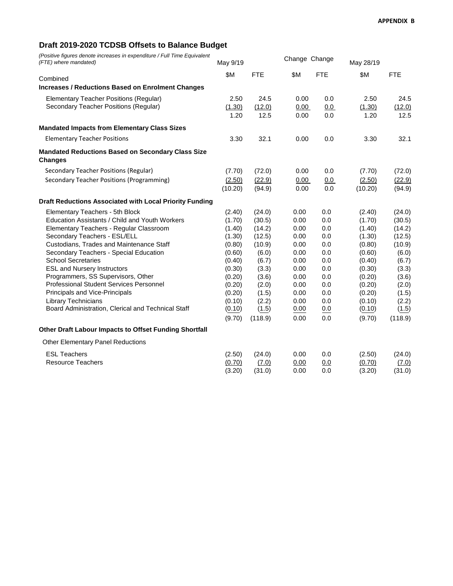## **Draft 2019-2020 TCDSB Offsets to Balance Budget**

*(Positive figures denote increases in expenditure / Full Time Equivalent (FTE) where mandated)* May 9/19 Change Change May 28/19

|                                                                            | $11141$ $0110$ |            |      |            | 1714 y 201 1 0 |            |
|----------------------------------------------------------------------------|----------------|------------|------|------------|----------------|------------|
| Combined                                                                   | \$M            | <b>FTE</b> | \$Μ  | <b>FTE</b> | \$M            | <b>FTE</b> |
| <b>Increases / Reductions Based on Enrolment Changes</b>                   |                |            |      |            |                |            |
| Elementary Teacher Positions (Regular)                                     | 2.50           | 24.5       | 0.00 | 0.0        | 2.50           | 24.5       |
| Secondary Teacher Positions (Regular)                                      | (1.30)         | (12.0)     | 0.00 | 0.0        | (1.30)         | (12.0)     |
|                                                                            | 1.20           | 12.5       | 0.00 | 0.0        | 1.20           | 12.5       |
| <b>Mandated Impacts from Elementary Class Sizes</b>                        |                |            |      |            |                |            |
| <b>Elementary Teacher Positions</b>                                        | 3.30           | 32.1       | 0.00 | 0.0        | 3.30           | 32.1       |
| <b>Mandated Reductions Based on Secondary Class Size</b><br><b>Changes</b> |                |            |      |            |                |            |
| Secondary Teacher Positions (Regular)                                      | (7.70)         | (72.0)     | 0.00 | 0.0        | (7.70)         | (72.0)     |
| Secondary Teacher Positions (Programming)                                  | (2.50)         | (22.9)     | 0.00 | 0.0        | (2.50)         | (22.9)     |
|                                                                            | (10.20)        | (94.9)     | 0.00 | 0.0        | (10.20)        | (94.9)     |
| Draft Reductions Associated with Local Priority Funding                    |                |            |      |            |                |            |
| Elementary Teachers - 5th Block                                            | (2.40)         | (24.0)     | 0.00 | 0.0        | (2.40)         | (24.0)     |
| Education Assistants / Child and Youth Workers                             | (1.70)         | (30.5)     | 0.00 | 0.0        | (1.70)         | (30.5)     |
| Elementary Teachers - Regular Classroom                                    | (1.40)         | (14.2)     | 0.00 | 0.0        | (1.40)         | (14.2)     |
| Secondary Teachers - ESL/ELL                                               | (1.30)         | (12.5)     | 0.00 | 0.0        | (1.30)         | (12.5)     |
| Custodians, Trades and Maintenance Staff                                   | (0.80)         | (10.9)     | 0.00 | 0.0        | (0.80)         | (10.9)     |
| Secondary Teachers - Special Education                                     | (0.60)         | (6.0)      | 0.00 | 0.0        | (0.60)         | (6.0)      |
| <b>School Secretaries</b>                                                  | (0.40)         | (6.7)      | 0.00 | 0.0        | (0.40)         | (6.7)      |
| <b>ESL and Nursery Instructors</b>                                         | (0.30)         | (3.3)      | 0.00 | 0.0        | (0.30)         | (3.3)      |
| Programmers, SS Supervisors, Other                                         | (0.20)         | (3.6)      | 0.00 | 0.0        | (0.20)         | (3.6)      |
| Professional Student Services Personnel                                    | (0.20)         | (2.0)      | 0.00 | 0.0        | (0.20)         | (2.0)      |
| Principals and Vice-Principals                                             | (0.20)         | (1.5)      | 0.00 | 0.0        | (0.20)         | (1.5)      |
| <b>Library Technicians</b>                                                 | (0.10)         | (2.2)      | 0.00 | 0.0        | (0.10)         | (2.2)      |
| Board Administration, Clerical and Technical Staff                         | (0.10)         | (1.5)      | 0.00 | 0.0        | (0.10)         | (1.5)      |
|                                                                            | (9.70)         | (118.9)    | 0.00 | 0.0        | (9.70)         | (118.9)    |
| Other Draft Labour Impacts to Offset Funding Shortfall                     |                |            |      |            |                |            |
| Other Elementary Panel Reductions                                          |                |            |      |            |                |            |
| <b>ESL Teachers</b>                                                        | (2.50)         | (24.0)     | 0.00 | 0.0        | (2.50)         | (24.0)     |
| <b>Resource Teachers</b>                                                   | (0.70)         | (7.0)      | 0.00 | 0.0        | (0.70)         | (7.0)      |
|                                                                            | (3.20)         | (31.0)     | 0.00 | 0.0        | (3.20)         | (31.0)     |
|                                                                            |                |            |      |            |                |            |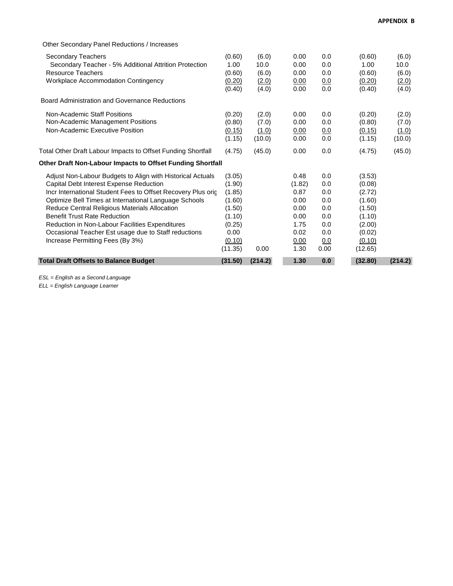| Other Secondary Panel Reductions / Increases                                       |                |                |              |            |                |                |
|------------------------------------------------------------------------------------|----------------|----------------|--------------|------------|----------------|----------------|
| Secondary Teachers                                                                 | (0.60)         | (6.0)          | 0.00         | 0.0        | (0.60)         | (6.0)          |
| Secondary Teacher - 5% Additional Attrition Protection<br><b>Resource Teachers</b> | 1.00<br>(0.60) | 10.0           | 0.00<br>0.00 | 0.0<br>0.0 | 1.00<br>(0.60) | 10.0           |
| <b>Workplace Accommodation Contingency</b>                                         | (0.20)         | (6.0)<br>(2.0) | 0.00         | <u>0.0</u> | (0.20)         | (6.0)<br>(2.0) |
|                                                                                    | (0.40)         | (4.0)          | 0.00         | 0.0        | (0.40)         | (4.0)          |
| Board Administration and Governance Reductions                                     |                |                |              |            |                |                |
| Non-Academic Staff Positions                                                       | (0.20)         | (2.0)          | 0.00         | 0.0        | (0.20)         | (2.0)          |
| Non-Academic Management Positions                                                  | (0.80)         | (7.0)          | 0.00         | 0.0        | (0.80)         | (7.0)          |
| Non-Academic Executive Position                                                    | (0.15)         | (1.0)          | 0.00         | 0.0        | (0.15)         | (1.0)          |
|                                                                                    | (1.15)         | (10.0)         | 0.00         | 0.0        | (1.15)         | (10.0)         |
| Total Other Draft Labour Impacts to Offset Funding Shortfall                       | (4.75)         | (45.0)         | 0.00         | 0.0        | (4.75)         | (45.0)         |
| Other Draft Non-Labour Impacts to Offset Funding Shortfall                         |                |                |              |            |                |                |
| Adjust Non-Labour Budgets to Align with Historical Actuals                         | (3.05)         |                | 0.48         | 0.0        | (3.53)         |                |
| Capital Debt Interest Expense Reduction                                            | (1.90)         |                | (1.82)       | 0.0        | (0.08)         |                |
| Incr International Student Fees to Offset Recovery Plus orig                       | (1.85)         |                | 0.87         | 0.0        | (2.72)         |                |
| Optimize Bell Times at International Language Schools                              | (1.60)         |                | 0.00         | 0.0        | (1.60)         |                |
| Reduce Central Religious Materials Allocation                                      | (1.50)         |                | 0.00         | 0.0        | (1.50)         |                |
| <b>Benefit Trust Rate Reduction</b>                                                | (1.10)         |                | 0.00         | 0.0        | (1.10)         |                |
| Reduction in Non-Labour Facilities Expenditures                                    | (0.25)         |                | 1.75         | 0.0        | (2.00)         |                |
| Occasional Teacher Est usage due to Staff reductions                               | 0.00           |                | 0.02         | 0.0        | (0.02)         |                |
| Increase Permitting Fees (By 3%)                                                   | (0.10)         |                | 0.00         | 0.0        | (0.10)         |                |
|                                                                                    | (11.35)        | 0.00           | 1.30         | 0.00       | (12.65)        |                |
| <b>Total Draft Offsets to Balance Budget</b>                                       | (31.50)        | (214.2)        | 1.30         | 0.0        | (32.80)        | (214.2)        |

*ESL = English as a Second Language*

*ELL = English Language Learner*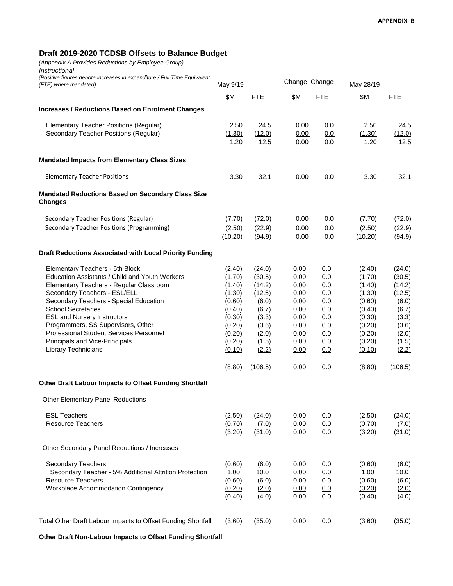#### **Draft 2019-2020 TCDSB Offsets to Balance Budget**

*(Appendix A Provides Reductions by Employee Group) Instructional*

| (Positive figures denote increases in expenditure / Full Time Equivalent<br>(FTE) where mandated)                                                                                                                                                                                                                                                                                                                   | May 9/19                                                                                                   |                                                                                                     | Change Change                                                                        |                                                                           | May 28/19                                                                                                  |                                                                                                     |  |
|---------------------------------------------------------------------------------------------------------------------------------------------------------------------------------------------------------------------------------------------------------------------------------------------------------------------------------------------------------------------------------------------------------------------|------------------------------------------------------------------------------------------------------------|-----------------------------------------------------------------------------------------------------|--------------------------------------------------------------------------------------|---------------------------------------------------------------------------|------------------------------------------------------------------------------------------------------------|-----------------------------------------------------------------------------------------------------|--|
|                                                                                                                                                                                                                                                                                                                                                                                                                     | \$M                                                                                                        | <b>FTE</b>                                                                                          | \$M                                                                                  | <b>FTE</b>                                                                | \$M                                                                                                        | <b>FTE</b>                                                                                          |  |
| <b>Increases / Reductions Based on Enrolment Changes</b>                                                                                                                                                                                                                                                                                                                                                            |                                                                                                            |                                                                                                     |                                                                                      |                                                                           |                                                                                                            |                                                                                                     |  |
| <b>Elementary Teacher Positions (Regular)</b><br>Secondary Teacher Positions (Regular)                                                                                                                                                                                                                                                                                                                              | 2.50<br>(1.30)<br>1.20                                                                                     | 24.5<br>(12.0)<br>12.5                                                                              | 0.00<br>0.00<br>0.00                                                                 | 0.0<br>0.0<br>0.0                                                         | 2.50<br>(1.30)<br>1.20                                                                                     | 24.5<br>(12.0)<br>12.5                                                                              |  |
| <b>Mandated Impacts from Elementary Class Sizes</b>                                                                                                                                                                                                                                                                                                                                                                 |                                                                                                            |                                                                                                     |                                                                                      |                                                                           |                                                                                                            |                                                                                                     |  |
| <b>Elementary Teacher Positions</b>                                                                                                                                                                                                                                                                                                                                                                                 | 3.30                                                                                                       | 32.1                                                                                                | 0.00                                                                                 | 0.0                                                                       | 3.30                                                                                                       | 32.1                                                                                                |  |
| <b>Mandated Reductions Based on Secondary Class Size</b><br><b>Changes</b>                                                                                                                                                                                                                                                                                                                                          |                                                                                                            |                                                                                                     |                                                                                      |                                                                           |                                                                                                            |                                                                                                     |  |
| Secondary Teacher Positions (Regular)<br>Secondary Teacher Positions (Programming)                                                                                                                                                                                                                                                                                                                                  | (7.70)<br>(2.50)<br>(10.20)                                                                                | (72.0)<br>(22.9)<br>(94.9)                                                                          | 0.00<br>0.00<br>0.00                                                                 | 0.0<br>0.0<br>0.0                                                         | (7.70)<br>(2.50)<br>(10.20)                                                                                | (72.0)<br>(22.9)<br>(94.9)                                                                          |  |
| Draft Reductions Associated with Local Priority Funding                                                                                                                                                                                                                                                                                                                                                             |                                                                                                            |                                                                                                     |                                                                                      |                                                                           |                                                                                                            |                                                                                                     |  |
| Elementary Teachers - 5th Block<br>Education Assistants / Child and Youth Workers<br>Elementary Teachers - Regular Classroom<br>Secondary Teachers - ESL/ELL<br>Secondary Teachers - Special Education<br><b>School Secretaries</b><br><b>ESL and Nursery Instructors</b><br>Programmers, SS Supervisors, Other<br>Professional Student Services Personnel<br>Principals and Vice-Principals<br>Library Technicians | (2.40)<br>(1.70)<br>(1.40)<br>(1.30)<br>(0.60)<br>(0.40)<br>(0.30)<br>(0.20)<br>(0.20)<br>(0.20)<br>(0.10) | (24.0)<br>(30.5)<br>(14.2)<br>(12.5)<br>(6.0)<br>(6.7)<br>(3.3)<br>(3.6)<br>(2.0)<br>(1.5)<br>(2.2) | 0.00<br>0.00<br>0.00<br>0.00<br>0.00<br>0.00<br>0.00<br>0.00<br>0.00<br>0.00<br>0.00 | 0.0<br>0.0<br>0.0<br>0.0<br>0.0<br>0.0<br>0.0<br>0.0<br>0.0<br>0.0<br>0.0 | (2.40)<br>(1.70)<br>(1.40)<br>(1.30)<br>(0.60)<br>(0.40)<br>(0.30)<br>(0.20)<br>(0.20)<br>(0.20)<br>(0.10) | (24.0)<br>(30.5)<br>(14.2)<br>(12.5)<br>(6.0)<br>(6.7)<br>(3.3)<br>(3.6)<br>(2.0)<br>(1.5)<br>(2.2) |  |
|                                                                                                                                                                                                                                                                                                                                                                                                                     | (8.80)                                                                                                     | (106.5)                                                                                             | 0.00                                                                                 | 0.0                                                                       | (8.80)                                                                                                     | (106.5)                                                                                             |  |
| Other Draft Labour Impacts to Offset Funding Shortfall                                                                                                                                                                                                                                                                                                                                                              |                                                                                                            |                                                                                                     |                                                                                      |                                                                           |                                                                                                            |                                                                                                     |  |
| Other Elementary Panel Reductions<br><b>ESL Teachers</b><br><b>Resource Teachers</b>                                                                                                                                                                                                                                                                                                                                | (2.50)<br>(0.70)<br>(3.20)                                                                                 | (24.0)<br>(7.0)<br>(31.0)                                                                           | 0.00<br>0.00<br>0.00                                                                 | 0.0<br>0.0<br>0.0                                                         | (2.50)<br>(0.70)<br>(3.20)                                                                                 | (24.0)<br>(7.0)<br>(31.0)                                                                           |  |
| Other Secondary Panel Reductions / Increases                                                                                                                                                                                                                                                                                                                                                                        |                                                                                                            |                                                                                                     |                                                                                      |                                                                           |                                                                                                            |                                                                                                     |  |
| <b>Secondary Teachers</b><br>Secondary Teacher - 5% Additional Attrition Protection<br><b>Resource Teachers</b><br>Workplace Accommodation Contingency                                                                                                                                                                                                                                                              | (0.60)<br>1.00<br>(0.60)<br>(0.20)<br>(0.40)                                                               | (6.0)<br>10.0<br>(6.0)<br>(2.0)<br>(4.0)                                                            | 0.00<br>0.00<br>0.00<br>0.00<br>0.00                                                 | 0.0<br>0.0<br>0.0<br>0.0<br>0.0                                           | (0.60)<br>1.00<br>(0.60)<br>(0.20)<br>(0.40)                                                               | (6.0)<br>10.0<br>(6.0)<br>(2.0)<br>(4.0)                                                            |  |
| Total Other Draft Labour Impacts to Offset Funding Shortfall                                                                                                                                                                                                                                                                                                                                                        | (3.60)                                                                                                     | (35.0)                                                                                              | 0.00                                                                                 | 0.0                                                                       | (3.60)                                                                                                     | (35.0)                                                                                              |  |

**Other Draft Non-Labour Impacts to Offset Funding Shortfall**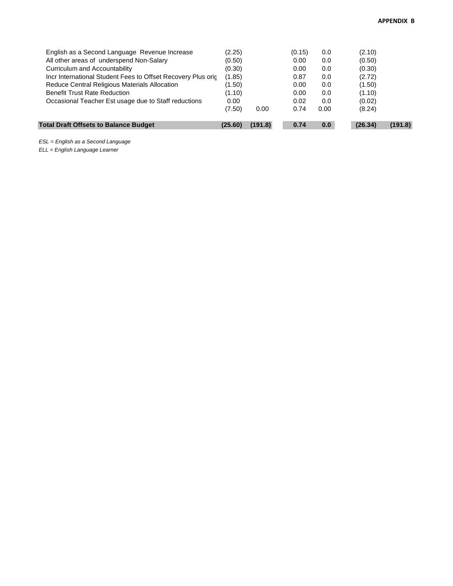| <b>Total Draft Offsets to Balance Budget</b>                 | (25.60) | (191.8) | 0.74   | 0.0  | (26.34) | (191.8) |
|--------------------------------------------------------------|---------|---------|--------|------|---------|---------|
|                                                              | (7.50)  | 0.00    | 0.74   | 0.00 | (8.24)  |         |
| Occasional Teacher Est usage due to Staff reductions         | 0.00    |         | 0.02   | 0.0  | (0.02)  |         |
| <b>Benefit Trust Rate Reduction</b>                          | (1.10)  |         | 0.00   | 0.0  | (1.10)  |         |
| Reduce Central Religious Materials Allocation                | (1.50)  |         | 0.00   | 0.0  | (1.50)  |         |
| Incr International Student Fees to Offset Recovery Plus orig | (1.85)  |         | 0.87   | 0.0  | (2.72)  |         |
| Curriculum and Accountability                                | (0.30)  |         | 0.00   | 0.0  | (0.30)  |         |
| All other areas of underspend Non-Salary                     | (0.50)  |         | 0.00   | 0.0  | (0.50)  |         |
| English as a Second Language Revenue Increase                | (2.25)  |         | (0.15) | 0.0  | (2.10)  |         |

*ESL = English as a Second Language*

*ELL = English Language Learner*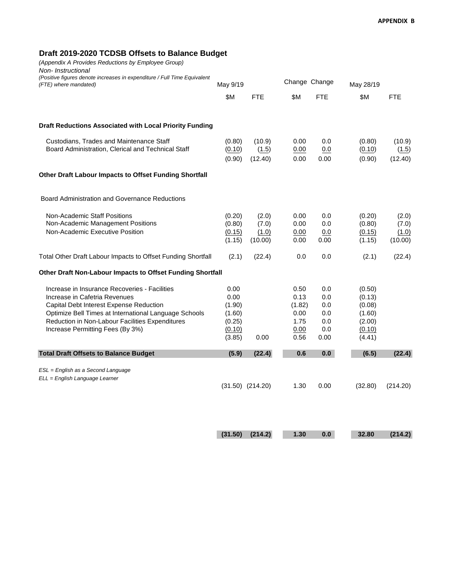#### **Draft 2019-2020 TCDSB Offsets to Balance Budget**

*(Appendix A Provides Reductions by Employee Group)*

*Non- Instructional*

| (Positive figures denote increases in expenditure / Full Time Equivalent<br>(FTE) where mandated)                                                                                                                                                                         | May 9/19                                                       |                                    | Change Change                                          |                                                | May 28/19                                                          |                                    |
|---------------------------------------------------------------------------------------------------------------------------------------------------------------------------------------------------------------------------------------------------------------------------|----------------------------------------------------------------|------------------------------------|--------------------------------------------------------|------------------------------------------------|--------------------------------------------------------------------|------------------------------------|
|                                                                                                                                                                                                                                                                           | \$M                                                            | <b>FTE</b>                         | \$M                                                    | <b>FTE</b>                                     | \$M                                                                | <b>FTE</b>                         |
| <b>Draft Reductions Associated with Local Priority Funding</b>                                                                                                                                                                                                            |                                                                |                                    |                                                        |                                                |                                                                    |                                    |
| Custodians, Trades and Maintenance Staff<br>Board Administration, Clerical and Technical Staff                                                                                                                                                                            | (0.80)<br>(0.10)<br>(0.90)                                     | (10.9)<br>(1.5)<br>(12.40)         | 0.00<br>0.00<br>0.00                                   | 0.0<br>0.0<br>0.00                             | (0.80)<br>(0.10)<br>(0.90)                                         | (10.9)<br>(1.5)<br>(12.40)         |
| Other Draft Labour Impacts to Offset Funding Shortfall                                                                                                                                                                                                                    |                                                                |                                    |                                                        |                                                |                                                                    |                                    |
| <b>Board Administration and Governance Reductions</b>                                                                                                                                                                                                                     |                                                                |                                    |                                                        |                                                |                                                                    |                                    |
| <b>Non-Academic Staff Positions</b><br>Non-Academic Management Positions<br>Non-Academic Executive Position                                                                                                                                                               | (0.20)<br>(0.80)<br>(0.15)<br>(1.15)                           | (2.0)<br>(7.0)<br>(1.0)<br>(10.00) | 0.00<br>0.00<br>0.00<br>0.00                           | 0.0<br>0.0<br>0.0<br>0.00                      | (0.20)<br>(0.80)<br>(0.15)<br>(1.15)                               | (2.0)<br>(7.0)<br>(1.0)<br>(10.00) |
| Total Other Draft Labour Impacts to Offset Funding Shortfall                                                                                                                                                                                                              | (2.1)                                                          | (22.4)                             | 0.0                                                    | 0.0                                            | (2.1)                                                              | (22.4)                             |
| Other Draft Non-Labour Impacts to Offset Funding Shortfall                                                                                                                                                                                                                |                                                                |                                    |                                                        |                                                |                                                                    |                                    |
| Increase in Insurance Recoveries - Facilities<br>Increase in Cafetria Revenues<br>Capital Debt Interest Expense Reduction<br>Optimize Bell Times at International Language Schools<br>Reduction in Non-Labour Facilities Expenditures<br>Increase Permitting Fees (By 3%) | 0.00<br>0.00<br>(1.90)<br>(1.60)<br>(0.25)<br>(0.10)<br>(3.85) | 0.00                               | 0.50<br>0.13<br>(1.82)<br>0.00<br>1.75<br>0.00<br>0.56 | 0.0<br>0.0<br>0.0<br>0.0<br>0.0<br>0.0<br>0.00 | (0.50)<br>(0.13)<br>(0.08)<br>(1.60)<br>(2.00)<br>(0.10)<br>(4.41) |                                    |
| <b>Total Draft Offsets to Balance Budget</b>                                                                                                                                                                                                                              | (5.9)                                                          | (22.4)                             | 0.6                                                    | 0.0                                            | (6.5)                                                              | (22.4)                             |
| ESL = English as a Second Language<br>ELL = English Language Learner                                                                                                                                                                                                      |                                                                |                                    |                                                        |                                                |                                                                    |                                    |
|                                                                                                                                                                                                                                                                           |                                                                | $(31.50)$ $(214.20)$               | 1.30                                                   | 0.00                                           | (32.80)                                                            | (214.20)                           |

**(31.50) (214.2) 1.30 0.0 32.80 (214.2)**